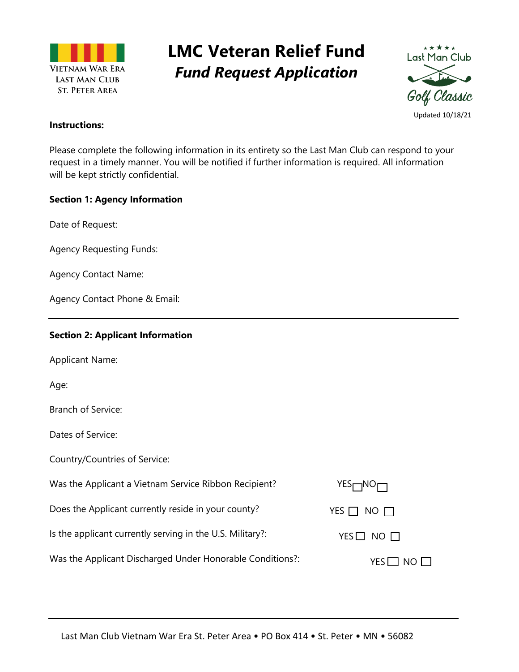

# **LMC Veteran Relief Fund** *Fund Request Application*



### **Instructions:**

Please complete the following information in its entirety so the Last Man Club can respond to your request in a timely manner. You will be notified if further information is required. All information will be kept strictly confidential.

### **Section 1: Agency Information**

Date of Request:

Agency Requesting Funds:

Agency Contact Name:

Agency Contact Phone & Email:

## **Section 2: Applicant Information**

Applicant Name:

Age:

Branch of Service:

Dates of Service:

Country/Countries of Service:

| Was the Applicant a Vietnam Service Ribbon Recipient?     | YES <sub>m</sub> NO <sub>m</sub> |
|-----------------------------------------------------------|----------------------------------|
| Does the Applicant currently reside in your county?       | YES $\Box$ NO $\Box$             |
| Is the applicant currently serving in the U.S. Military?: | $YES$ NO $\Box$                  |
| Was the Applicant Discharged Under Honorable Conditions?: | $YES$ NO $\Box$                  |